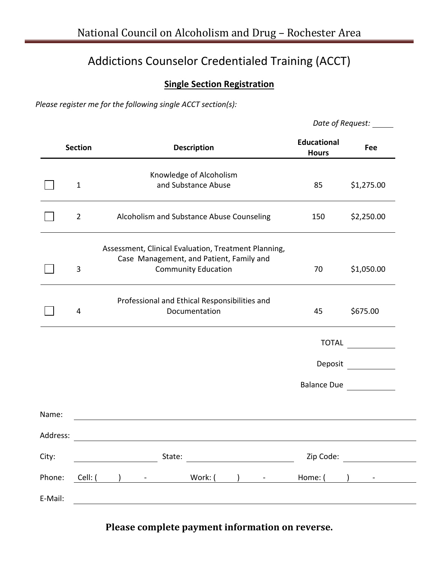## Addictions Counselor Credentialed Training (ACCT)

## **Single Section Registration**

*Please register me for the following single ACCT section(s):* 

| Date of Request: |
|------------------|
|------------------|

|          | <b>Section</b> | <b>Description</b>                                                                                                             | <b>Educational</b><br><b>Hours</b> | Fee                |
|----------|----------------|--------------------------------------------------------------------------------------------------------------------------------|------------------------------------|--------------------|
|          | $\mathbf{1}$   | Knowledge of Alcoholism<br>and Substance Abuse                                                                                 | 85                                 | \$1,275.00         |
|          | $\overline{2}$ | Alcoholism and Substance Abuse Counseling                                                                                      | 150                                | \$2,250.00         |
|          | 3              | Assessment, Clinical Evaluation, Treatment Planning,<br>Case Management, and Patient, Family and<br><b>Community Education</b> | 70                                 | \$1,050.00         |
|          | 4              | Professional and Ethical Responsibilities and<br>Documentation                                                                 | 45                                 | \$675.00           |
|          |                |                                                                                                                                |                                    | TOTAL              |
|          |                |                                                                                                                                |                                    | Deposit            |
|          |                |                                                                                                                                |                                    | <b>Balance Due</b> |
| Name:    |                |                                                                                                                                |                                    |                    |
| Address: |                |                                                                                                                                |                                    |                    |
| City:    |                | State:                                                                                                                         | Zip Code:                          |                    |
| Phone:   | Cell: (        | Work: (<br>$\Box$<br>$\frac{1}{2}$ , and $\frac{1}{2}$ , and $\frac{1}{2}$<br>$\blacksquare$                                   | Home: (                            | $\rightarrow$      |
| E-Mail:  |                |                                                                                                                                |                                    |                    |

Please complete payment information on reverse.